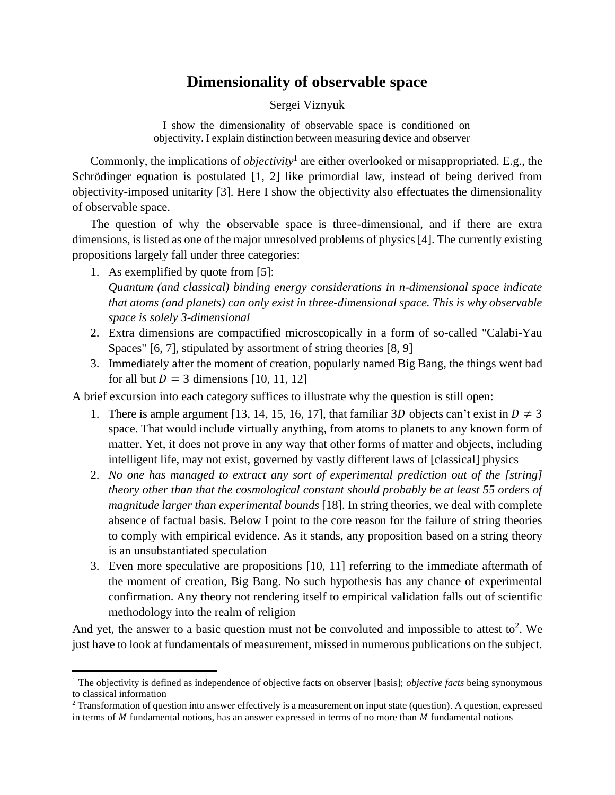## **Dimensionality of observable space**

## Sergei Viznyuk

I show the dimensionality of observable space is conditioned on objectivity. I explain distinction between measuring device and observer

Commonly, the implications of *objectivity*<sup>1</sup> are either overlooked or misappropriated. E.g., the Schrödinger equation is postulated [1, 2] like primordial law, instead of being derived from objectivity-imposed unitarity [3]. Here I show the objectivity also effectuates the dimensionality of observable space.

The question of why the observable space is three-dimensional, and if there are extra dimensions, is listed as one of the major unresolved problems of physics [4]. The currently existing propositions largely fall under three categories:

- 1. As exemplified by quote from [5]: *Quantum (and classical) binding energy considerations in n-dimensional space indicate that atoms (and planets) can only exist in three-dimensional space. This is why observable space is solely 3-dimensional*
- 2. Extra dimensions are compactified microscopically in a form of so-called "Calabi-Yau Spaces" [6, 7], stipulated by assortment of string theories [8, 9]
- 3. Immediately after the moment of creation, popularly named Big Bang, the things went bad for all but  $D = 3$  dimensions [10, 11, 12]

A brief excursion into each category suffices to illustrate why the question is still open:

- 1. There is ample argument [13, 14, 15, 16, 17], that familiar 3D objects can't exist in  $D \neq 3$ space. That would include virtually anything, from atoms to planets to any known form of matter. Yet, it does not prove in any way that other forms of matter and objects, including intelligent life, may not exist, governed by vastly different laws of [classical] physics
- 2. *No one has managed to extract any sort of experimental prediction out of the [string] theory other than that the cosmological constant should probably be at least 55 orders of magnitude larger than experimental bounds* [18]. In string theories, we deal with complete absence of factual basis. Below I point to the core reason for the failure of string theories to comply with empirical evidence. As it stands, any proposition based on a string theory is an unsubstantiated speculation
- 3. Even more speculative are propositions [10, 11] referring to the immediate aftermath of the moment of creation, Big Bang. No such hypothesis has any chance of experimental confirmation. Any theory not rendering itself to empirical validation falls out of scientific methodology into the realm of religion

And yet, the answer to a basic question must not be convoluted and impossible to attest to<sup>2</sup>. We just have to look at fundamentals of measurement, missed in numerous publications on the subject.

<sup>&</sup>lt;sup>1</sup> The objectivity is defined as independence of objective facts on observer [basis]; *objective facts* being synonymous to classical information

<sup>&</sup>lt;sup>2</sup> Transformation of question into answer effectively is a measurement on input state (question). A question, expressed in terms of  $M$  fundamental notions, has an answer expressed in terms of no more than  $M$  fundamental notions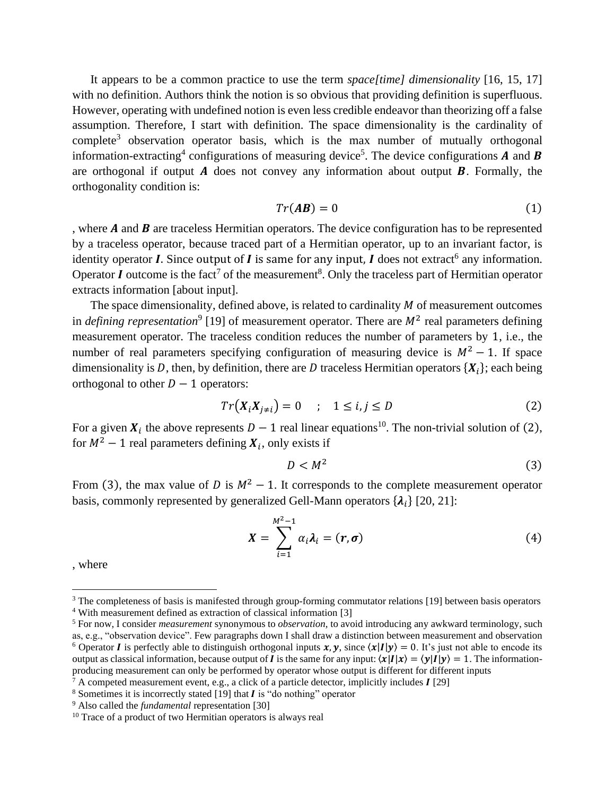It appears to be a common practice to use the term *space[time] dimensionality* [16, 15, 17] with no definition. Authors think the notion is so obvious that providing definition is superfluous. However, operating with undefined notion is even less credible endeavor than theorizing off a false assumption. Therefore, I start with definition. The space dimensionality is the cardinality of complete<sup>3</sup> observation operator basis, which is the max number of mutually orthogonal information-extracting<sup>4</sup> configurations of measuring device<sup>5</sup>. The device configurations **A** and **B** are orthogonal if output  $\vec{A}$  does not convey any information about output  $\vec{B}$ . Formally, the orthogonality condition is:

$$
Tr(A\boldsymbol{B}) = 0 \tag{1}
$$

, where  $A$  and  $B$  are traceless Hermitian operators. The device configuration has to be represented by a traceless operator, because traced part of a Hermitian operator, up to an invariant factor, is identity operator *I*. Since output of *I* is same for any input, *I* does not extract<sup>6</sup> any information. Operator I outcome is the fact<sup>7</sup> of the measurement<sup>8</sup>. Only the traceless part of Hermitian operator extracts information [about input].

The space dimensionality, defined above, is related to cardinality  $M$  of measurement outcomes in *defining representation*<sup>9</sup> [19] of measurement operator. There are  $M^2$  real parameters defining measurement operator. The traceless condition reduces the number of parameters by 1, i.e., the number of real parameters specifying configuration of measuring device is  $M^2 - 1$ . If space dimensionality is D, then, by definition, there are D traceless Hermitian operators  $\{X_i\}$ ; each being orthogonal to other  $D - 1$  operators:

$$
Tr(X_iX_{j\neq i}) = 0 \quad ; \quad 1 \leq i, j \leq D \tag{2}
$$

For a given  $X_i$  the above represents  $D-1$  real linear equations<sup>10</sup>. The non-trivial solution of [\(2\)](#page-1-0), for  $M^2 - 1$  real parameters defining  $X_i$ , only exists if

<span id="page-1-2"></span><span id="page-1-1"></span><span id="page-1-0"></span>
$$
D < M^2 \tag{3}
$$

From [\(3\)](#page-1-1), the max value of  $D$  is  $M^2 - 1$ . It corresponds to the complete measurement operator basis, commonly represented by generalized Gell-Mann operators  $\{\lambda_i\}$  [20, 21]:

$$
X = \sum_{i=1}^{M^2-1} \alpha_i \lambda_i = (r, \sigma)
$$
 (4)

, where

<sup>&</sup>lt;sup>3</sup> The completeness of basis is manifested through group-forming commutator relations [19] between basis operators <sup>4</sup> With measurement defined as extraction of classical information [3]

<sup>5</sup> For now, I consider *measurement* synonymous to *observation*, to avoid introducing any awkward terminology, such as, e.g., "observation device". Few paragraphs down I shall draw a distinction between measurement and observation <sup>6</sup> Operator *I* is perfectly able to distinguish orthogonal inputs  $x, y$ , since  $\langle x|I|y\rangle = 0$ . It's just not able to encode its output as classical information, because output of *I* is the same for any input:  $\langle \chi | I | \chi \rangle = \langle \gamma | I | \gamma \rangle = 1$ . The informationproducing measurement can only be performed by operator whose output is different for different inputs

 $\bar{7}$  A competed measurement event, e.g., a click of a particle detector, implicitly includes  $\bf{I}$  [29]

<sup>&</sup>lt;sup>8</sup> Sometimes it is incorrectly stated [19] that  $\vec{l}$  is "do nothing" operator

<sup>9</sup> Also called the *fundamental* representation [30]

<sup>&</sup>lt;sup>10</sup> Trace of a product of two Hermitian operators is always real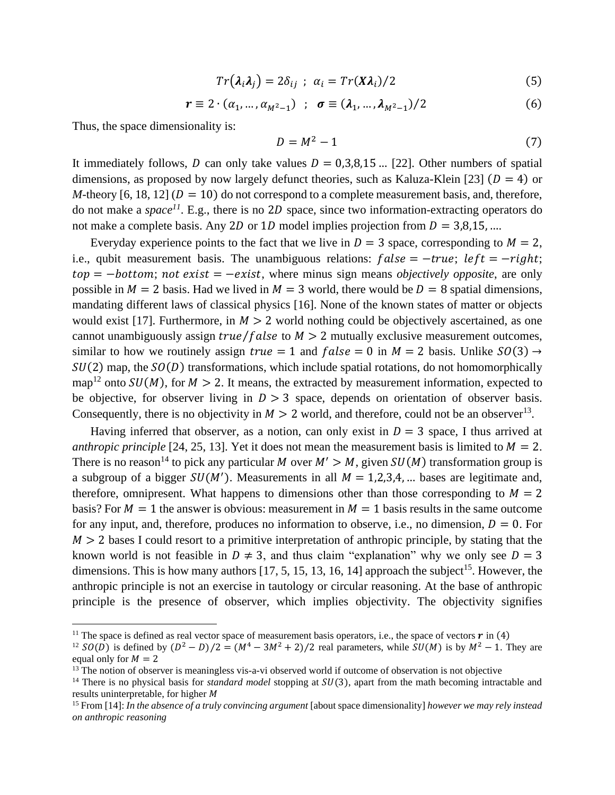$$
Tr(\lambda_i \lambda_j) = 2\delta_{ij} \; ; \; \alpha_i = Tr(X\lambda_i)/2 \tag{5}
$$

$$
\mathbf{r} \equiv 2 \cdot (\alpha_1, \dots, \alpha_{M^2 - 1}) \quad ; \quad \mathbf{\sigma} \equiv (\lambda_1, \dots, \lambda_{M^2 - 1})/2 \tag{6}
$$

Thus, the space dimensionality is:

<span id="page-2-0"></span>
$$
D = M^2 - 1 \tag{7}
$$

It immediately follows, D can only take values  $D = 0.3,8,15$  ... [22]. Other numbers of spatial dimensions, as proposed by now largely defunct theories, such as Kaluza-Klein [23] ( $D = 4$ ) or *M*-theory [6, 18, 12] ( $D = 10$ ) do not correspond to a complete measurement basis, and, therefore, do not make a *space<sup>11</sup>*. E.g., there is no 2D space, since two information-extracting operators do not make a complete basis. Any 2D or 1D model implies projection from  $D = 3,8,15, ...$ 

Everyday experience points to the fact that we live in  $D = 3$  space, corresponding to  $M = 2$ , i.e., qubit measurement basis. The unambiguous relations:  $false = -true$ ;  $left = -right$ ;  $top = -bottom$ ; not exist =  $-exist$ , where minus sign means *objectively opposite*, are only possible in  $M = 2$  basis. Had we lived in  $M = 3$  world, there would be  $D = 8$  spatial dimensions, mandating different laws of classical physics [16]. None of the known states of matter or objects would exist [17]. Furthermore, in  $M > 2$  world nothing could be objectively ascertained, as one cannot unambiguously assign *true/false* to  $M > 2$  mutually exclusive measurement outcomes, similar to how we routinely assign  $true = 1$  and  $false = 0$  in  $M = 2$  basis. Unlike  $SO(3) \rightarrow$  $SU(2)$  map, the  $SO(D)$  transformations, which include spatial rotations, do not homomorphically map<sup>12</sup> onto  $SU(M)$ , for  $M > 2$ . It means, the extracted by measurement information, expected to be objective, for observer living in  $D > 3$  space, depends on orientation of observer basis. Consequently, there is no objectivity in  $M > 2$  world, and therefore, could not be an observer<sup>13</sup>.

Having inferred that observer, as a notion, can only exist in  $D = 3$  space, I thus arrived at *anthropic principle* [24, 25, 13]. Yet it does not mean the measurement basis is limited to  $M = 2$ . There is no reason<sup>14</sup> to pick any particular M over  $M' > M$ , given  $SU(M)$  transformation group is a subgroup of a bigger  $SU(M')$ . Measurements in all  $M = 1,2,3,4, ...$  bases are legitimate and, therefore, omnipresent. What happens to dimensions other than those corresponding to  $M = 2$ basis? For  $M = 1$  the answer is obvious: measurement in  $M = 1$  basis results in the same outcome for any input, and, therefore, produces no information to observe, i.e., no dimension,  $D = 0$ . For  $M > 2$  bases I could resort to a primitive interpretation of anthropic principle, by stating that the known world is not feasible in  $D \neq 3$ , and thus claim "explanation" why we only see  $D = 3$ dimensions. This is how many authors  $[17, 5, 15, 13, 16, 14]$  approach the subject<sup>15</sup>. However, the anthropic principle is not an exercise in tautology or circular reasoning. At the base of anthropic principle is the presence of observer, which implies objectivity. The objectivity signifies

<sup>&</sup>lt;sup>11</sup> The space is defined as real vector space of measurement basis operators, i.e., the space of vectors  $\bm{r}$  in [\(4\)](#page-1-2)

<sup>&</sup>lt;sup>12</sup> SO(D) is defined by  $(D^2 - D)/2 = (M^4 - 3M^2 + 2)/2$  real parameters, while SU(M) is by  $M^2 - 1$ . They are equal only for  $M = 2$ 

 $13$  The notion of observer is meaningless vis-a-vi observed world if outcome of observation is not objective

<sup>&</sup>lt;sup>14</sup> There is no physical basis for *standard model* stopping at  $SU(3)$ , apart from the math becoming intractable and results uninterpretable, for higher

<sup>&</sup>lt;sup>15</sup> From [14]: *In the absence of a truly convincing argument* [about space dimensionality] *however we may rely instead on anthropic reasoning*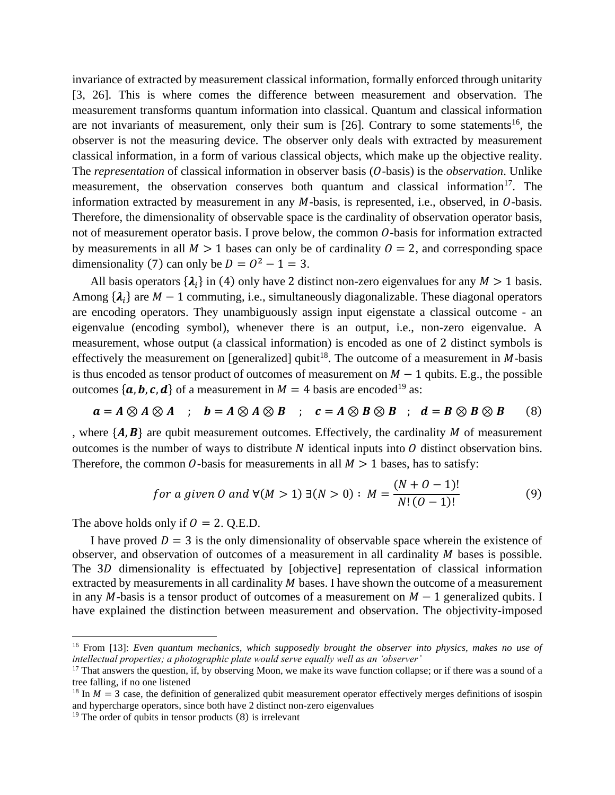invariance of extracted by measurement classical information, formally enforced through unitarity [3, 26]. This is where comes the difference between measurement and observation. The measurement transforms quantum information into classical. Quantum and classical information are not invariants of measurement, only their sum is  $[26]$ . Contrary to some statements<sup>16</sup>, the observer is not the measuring device. The observer only deals with extracted by measurement classical information, in a form of various classical objects, which make up the objective reality. The *representation* of classical information in observer basis (*O*-basis) is the *observation*. Unlike measurement, the observation conserves both quantum and classical information<sup>17</sup>. The information extracted by measurement in any  $M$ -basis, is represented, i.e., observed, in  $O$ -basis. Therefore, the dimensionality of observable space is the cardinality of observation operator basis, not of measurement operator basis. I prove below, the common  $O$ -basis for information extracted by measurements in all  $M > 1$  bases can only be of cardinality  $0 = 2$ , and corresponding space dimensionality [\(7\)](#page-2-0) can only be  $D = O^2 - 1 = 3$ .

All basis operators  $\{\lambda_i\}$  in [\(4\)](#page-1-2) only have 2 distinct non-zero eigenvalues for any  $M > 1$  basis. Among  $\{\lambda_i\}$  are  $M-1$  commuting, i.e., simultaneously diagonalizable. These diagonal operators are encoding operators. They unambiguously assign input eigenstate a classical outcome - an eigenvalue (encoding symbol), whenever there is an output, i.e., non-zero eigenvalue. A measurement, whose output (a classical information) is encoded as one of 2 distinct symbols is effectively the measurement on [generalized] qubit<sup>18</sup>. The outcome of a measurement in  $M$ -basis is thus encoded as tensor product of outcomes of measurement on  $M - 1$  qubits. E.g., the possible outcomes { $a, b, c, d$ } of a measurement in  $M = 4$  basis are encoded<sup>19</sup> as:

$$
a = A \otimes A \otimes A \quad ; \quad b = A \otimes A \otimes B \quad ; \quad c = A \otimes B \otimes B \quad ; \quad d = B \otimes B \otimes B \tag{8}
$$

, where  $\{A, B\}$  are qubit measurement outcomes. Effectively, the cardinality M of measurement outcomes is the number of ways to distribute  $N$  identical inputs into  $O$  distinct observation bins. Therefore, the common O-basis for measurements in all  $M > 1$  bases, has to satisfy:

<span id="page-3-0"></span>for a given 0 and 
$$
\forall
$$
(*M* > 1)  $\exists$ (*N* > 0) : *M* =  $\frac{(N+0-1)!}{N!(0-1)!}$  (9)

The above holds only if  $0 = 2$ . Q.E.D.

I have proved  $D = 3$  is the only dimensionality of observable space wherein the existence of observer, and observation of outcomes of a measurement in all cardinality  $M$  bases is possible. The 3D dimensionality is effectuated by [objective] representation of classical information extracted by measurements in all cardinality  $M$  bases. I have shown the outcome of a measurement in any M-basis is a tensor product of outcomes of a measurement on  $M - 1$  generalized qubits. I have explained the distinction between measurement and observation. The objectivity-imposed

<sup>16</sup> From [13]: *Even quantum mechanics, which supposedly brought the observer into physics, makes no use of intellectual properties; a photographic plate would serve equally well as an 'observer'*

 $17$  That answers the question, if, by observing Moon, we make its wave function collapse; or if there was a sound of a tree falling, if no one listened

<sup>&</sup>lt;sup>18</sup> In  $M = 3$  case, the definition of generalized qubit measurement operator effectively merges definitions of isospin and hypercharge operators, since both have 2 distinct non-zero eigenvalues

 $19$  The order of qubits in tensor products [\(8\)](#page-3-0) is irrelevant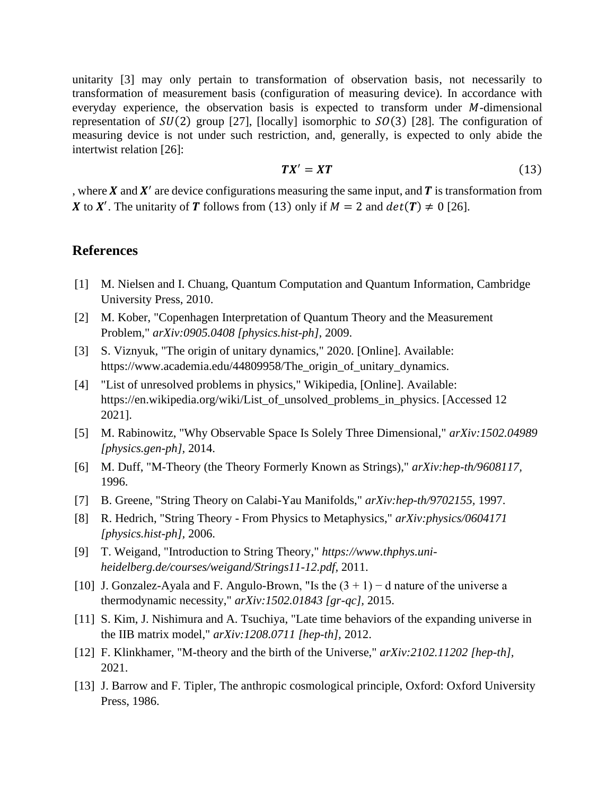unitarity [3] may only pertain to transformation of observation basis, not necessarily to transformation of measurement basis (configuration of measuring device). In accordance with everyday experience, the observation basis is expected to transform under  $M$ -dimensional representation of  $SU(2)$  group [27], [locally] isomorphic to  $SO(3)$  [28]. The configuration of measuring device is not under such restriction, and, generally, is expected to only abide the intertwist relation [26]:

<span id="page-4-0"></span>
$$
TX' = XT \tag{13}
$$

, where  $X$  and  $X'$  are device configurations measuring the same input, and  $T$  is transformation from X to X'. The unitarity of T follows from [\(13\)](#page-4-0) only if  $M = 2$  and  $det(T) \neq 0$  [26].

## **References**

- [1] M. Nielsen and I. Chuang, Quantum Computation and Quantum Information, Cambridge University Press, 2010.
- [2] M. Kober, "Copenhagen Interpretation of Quantum Theory and the Measurement Problem," *arXiv:0905.0408 [physics.hist-ph],* 2009.
- [3] S. Viznyuk, "The origin of unitary dynamics," 2020. [Online]. Available: https://www.academia.edu/44809958/The\_origin\_of\_unitary\_dynamics.
- [4] "List of unresolved problems in physics," Wikipedia, [Online]. Available: https://en.wikipedia.org/wiki/List\_of\_unsolved\_problems\_in\_physics. [Accessed 12 2021].
- [5] M. Rabinowitz, "Why Observable Space Is Solely Three Dimensional," *arXiv:1502.04989 [physics.gen-ph],* 2014.
- [6] M. Duff, "M-Theory (the Theory Formerly Known as Strings)," *arXiv:hep-th/9608117,*  1996.
- [7] B. Greene, "String Theory on Calabi-Yau Manifolds," *arXiv:hep-th/9702155,* 1997.
- [8] R. Hedrich, "String Theory From Physics to Metaphysics," *arXiv:physics/0604171 [physics.hist-ph],* 2006.
- [9] T. Weigand, "Introduction to String Theory," *https://www.thphys.uniheidelberg.de/courses/weigand/Strings11-12.pdf,* 2011.
- [10] J. Gonzalez-Ayala and F. Angulo-Brown, "Is the  $(3 + 1) d$  nature of the universe a thermodynamic necessity," *arXiv:1502.01843 [gr-qc],* 2015.
- [11] S. Kim, J. Nishimura and A. Tsuchiya, "Late time behaviors of the expanding universe in the IIB matrix model," *arXiv:1208.0711 [hep-th],* 2012.
- [12] F. Klinkhamer, "M-theory and the birth of the Universe," *arXiv:2102.11202 [hep-th],*  2021.
- [13] J. Barrow and F. Tipler, The anthropic cosmological principle, Oxford: Oxford University Press, 1986.